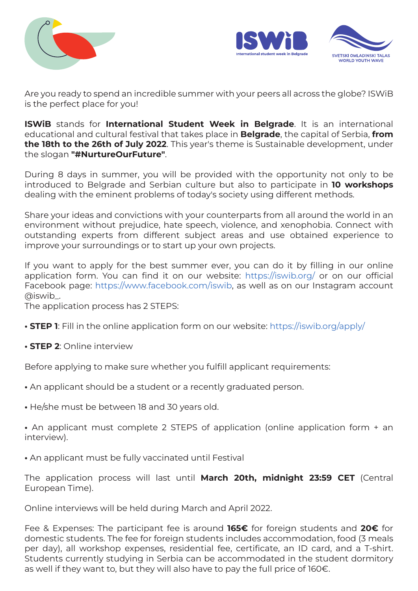



Are you ready to spend an incredible summer with your peers all across the globe? ISWiB is the perfect place for you!

ISWiB stands for International Student Week in Belgrade. It is an international educational and cultural festival that takes place in **Belgrade**, the capital of Serbia, from the 18th to the 26th of July 2022. This year's theme is Sustainable development, under the slogan "#NurtureOurFuture".

During 8 days in summer, you will be provided with the opportunity not only to be introduced to Belgrade and Serbian culture but also to participate in 10 workshops dealing with the eminent problems of today's society using different methods.

Share your ideas and convictions with your counterparts from all around the world in an environment without prejudice, hate speech, violence, and xenophobia. Connect with outstanding experts from different subject areas and use obtained experience to improve your surroundings or to start up your own projects.

If you want to apply for the best summer ever, you can do it by filling in our online application form. You can find it on our website: https://iswib.org/ or on our official Facebook page: https://www.facebook.com/iswib, as well as on our Instagram account @iswib\_.

The application process has 2 STEPS:

- **STEP 1**: Fill in the online application form on our website: https://iswib.org/apply/
- STEP 2: Online interview

Before applying to make sure whether you fulfill applicant requirements:

- An applicant should be a student or a recently graduated person.
- He/she must be between 18 and 30 years old.

• An applicant must complete 2 STEPS of application (online application form + an interview).

• An applicant must be fully vaccinated until Festival

The application process will last until March 20th, midnight 23:59 CET (Central European Time).

Online interviews will be held during March and April 2022.

Fee & Expenses: The participant fee is around 165€ for foreign students and 20€ for domestic students. The fee for foreign students includes accommodation, food (3 meals per day), all workshop expenses, residential fee, certificate, an ID card, and a T-shirt. Students currently studying in Serbia can be accommodated in the student dormitory as well if they want to, but they will also have to pay the full price of 160€.